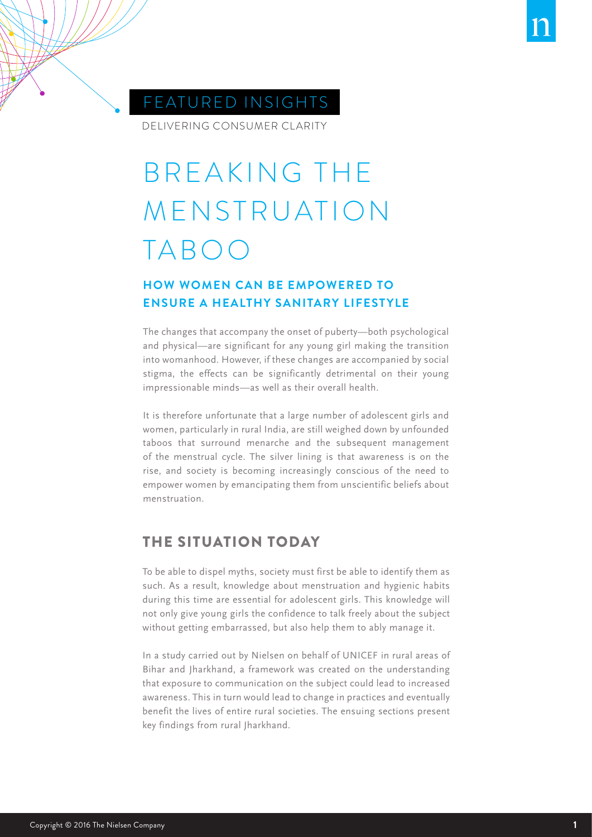



DELIVERING CONSUMER CLARITY

# BREAKING THE MENSTRUATION TABOO

# **HOW WOMEN CAN BE EMPOWERED TO ENSURE A HEALTHY SANITARY LIFESTYLE**

The changes that accompany the onset of puberty—both psychological and physical—are significant for any young girl making the transition into womanhood. However, if these changes are accompanied by social stigma, the effects can be significantly detrimental on their young impressionable minds—as well as their overall health.

It is therefore unfortunate that a large number of adolescent girls and women, particularly in rural India, are still weighed down by unfounded taboos that surround menarche and the subsequent management of the menstrual cycle. The silver lining is that awareness is on the rise, and society is becoming increasingly conscious of the need to empower women by emancipating them from unscientific beliefs about menstruation.

# THE SITUATION TODAY

To be able to dispel myths, society must first be able to identify them as such. As a result, knowledge about menstruation and hygienic habits during this time are essential for adolescent girls. This knowledge will not only give young girls the confidence to talk freely about the subject without getting embarrassed, but also help them to ably manage it.

In a study carried out by Nielsen on behalf of UNICEF in rural areas of Bihar and Jharkhand, a framework was created on the understanding that exposure to communication on the subject could lead to increased awareness. This in turn would lead to change in practices and eventually benefit the lives of entire rural societies. The ensuing sections present key findings from rural Jharkhand.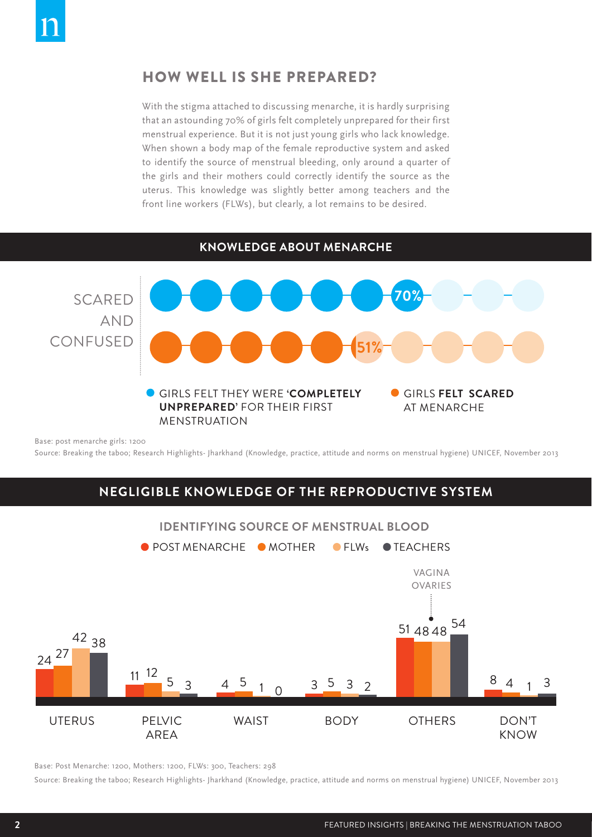## HOW WELL IS SHE PREPARED?

With the stigma attached to discussing menarche, it is hardly surprising that an astounding 70% of girls felt completely unprepared for their first menstrual experience. But it is not just young girls who lack knowledge. When shown a body map of the female reproductive system and asked to identify the source of menstrual bleeding, only around a quarter of the girls and their mothers could correctly identify the source as the uterus. This knowledge was slightly better among teachers and the front line workers (FLWs), but clearly, a lot remains to be desired.

**KNOWLEDGE ABOUT MENARCHE**



Base: post menarche girls: 1200

Source: Breaking the taboo; Research Highlights- Jharkhand (Knowledge, practice, attitude and norms on menstrual hygiene) UNICEF, November 2013

#### **NEGLIGIBLE KNOWLEDGE OF THE REPRODUCTIVE SYSTEM**



Base: Post Menarche: 1200, Mothers: 1200, FLWs: 300, Teachers: 298

Source: Breaking the taboo; Research Highlights- Jharkhand (Knowledge, practice, attitude and norms on menstrual hygiene) UNICEF, November 2013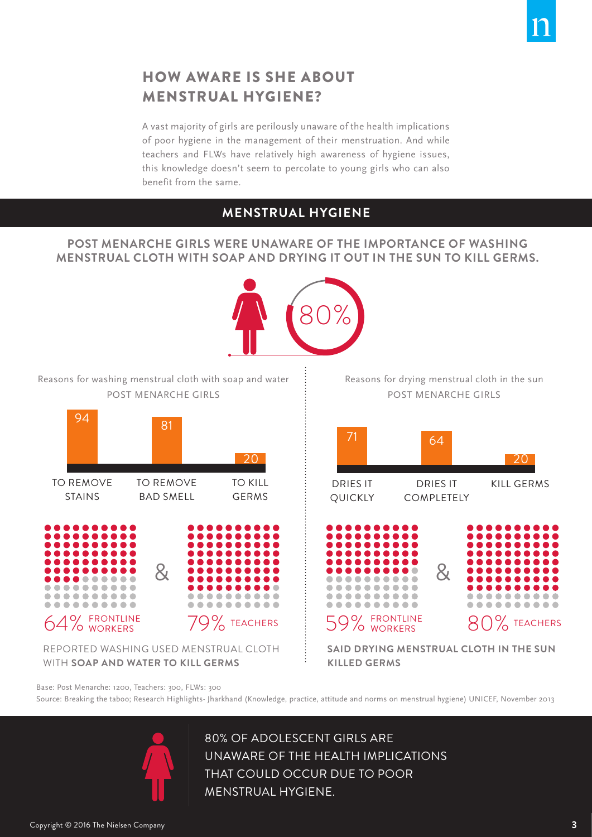

# HOW AWARE IS SHE ABOUT MENSTRUAL HYGIENE?

A vast majority of girls are perilously unaware of the health implications of poor hygiene in the management of their menstruation. And while teachers and FLWs have relatively high awareness of hygiene issues, this knowledge doesn't seem to percolate to young girls who can also benefit from the same.

# **MENSTRUAL HYGIENE**

#### **POST MENARCHE GIRLS WERE UNAWARE OF THE IMPORTANCE OF WASHING MENSTRUAL CLOTH WITH SOAP AND DRYING IT OUT IN THE SUN TO KILL GERMS.**



Base: Post Menarche: 1200, Teachers: 300, FLWs: 300 Source: Breaking the taboo; Research Highlights- Jharkhand (Knowledge, practice, attitude and norms on menstrual hygiene) UNICEF, November 2013



80% OF ADOLESCENT GIRLS ARE UNAWARE OF THE HEALTH IMPLICATIONS THAT COULD OCCUR DUE TO POOR MENSTRUAL HYGIENE.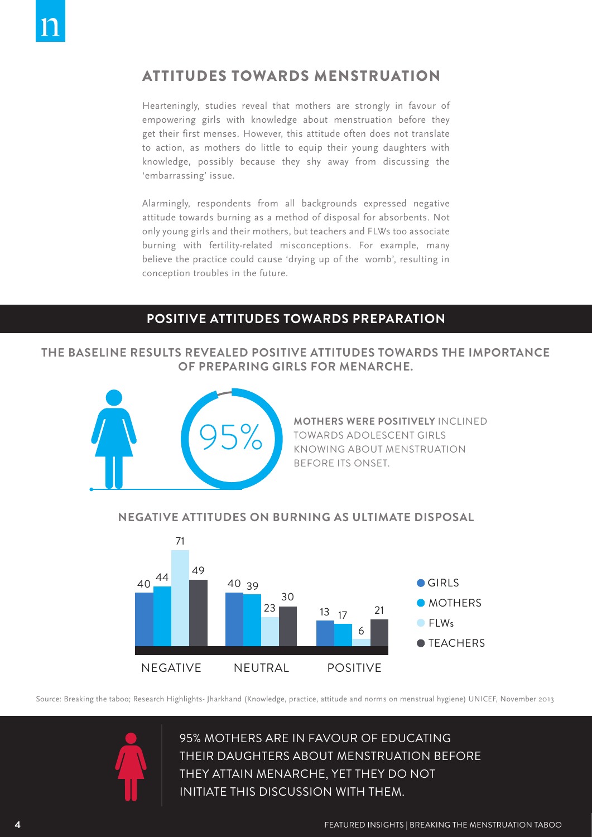# ATTITUDES TOWARDS MENSTRUATION

Hearteningly, studies reveal that mothers are strongly in favour of empowering girls with knowledge about menstruation before they get their first menses. However, this attitude often does not translate to action, as mothers do little to equip their young daughters with knowledge, possibly because they shy away from discussing the 'embarrassing' issue.

Alarmingly, respondents from all backgrounds expressed negative attitude towards burning as a method of disposal for absorbents. Not only young girls and their mothers, but teachers and FLWs too associate burning with fertility-related misconceptions. For example, many believe the practice could cause 'drying up of the womb', resulting in conception troubles in the future.

## **POSITIVE ATTITUDES TOWARDS PREPARATION**

#### **THE BASELINE RESULTS REVEALED POSITIVE ATTITUDES TOWARDS THE IMPORTANCE OF PREPARING GIRLS FOR MENARCHE.**



**MOTHERS WERE POSITIVELY** INCLINED TOWARDS ADOLESCENT GIRLS KNOWING ABOUT MENSTRUATION BEFORE ITS ONSET.

#### **NEGATIVE ATTITUDES ON BURNING AS ULTIMATE DISPOSAL**



Source: Breaking the taboo; Research Highlights- Jharkhand (Knowledge, practice, attitude and norms on menstrual hygiene) UNICEF, November 2013



95% MOTHERS ARE IN FAVOUR OF EDUCATING THEIR DAUGHTERS ABOUT MENSTRUATION BEFORE THEY ATTAIN MENARCHE, YET THEY DO NOT INITIATE THIS DISCUSSION WITH THEM.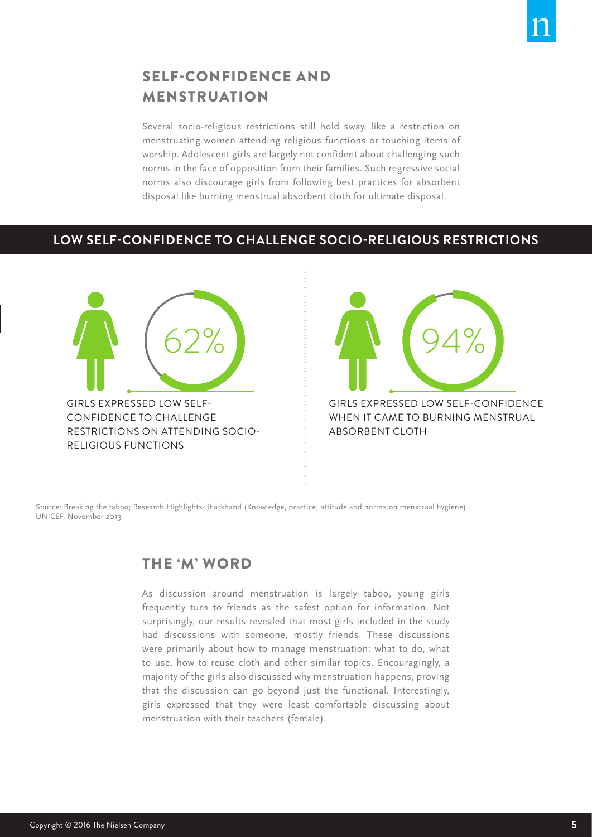

# SELF-CONFIDENCE AND MENSTRUATION

Several socio-religious restrictions still hold sway, like a restriction on menstruating women attending religious functions or touching items of worship. Adolescent girls are largely not confident about challenging such norms in the face of opposition from their families. Such regressive social norms also discourage girls from following best practices for absorbent disposal like burning menstrual absorbent cloth for ultimate disposal.

## **LOW SELF-CONFIDENCE TO CHALLENGE SOCIO-RELIGIOUS RESTRICTIONS**





WHEN IT CAME TO BURNING MENSTRUAL ABSORBENT CLOTH

Source: Breaking the taboo; Research Highlights- Jharkhand (Knowledge, practice, attitude and norms on menstrual hygiene) UNICEF, November 2013

# THE 'M' WORD

As discussion around menstruation is largely taboo, young girls frequently turn to friends as the safest option for information. Not surprisingly, our results revealed that most girls included in the study had discussions with someone, mostly friends. These discussions were primarily about how to manage menstruation: what to do, what to use, how to reuse cloth and other similar topics. Encouragingly, a majority of the girls also discussed why menstruation happens, proving that the discussion can go beyond just the functional. Interestingly, girls expressed that they were least comfortable discussing about menstruation with their teachers (female).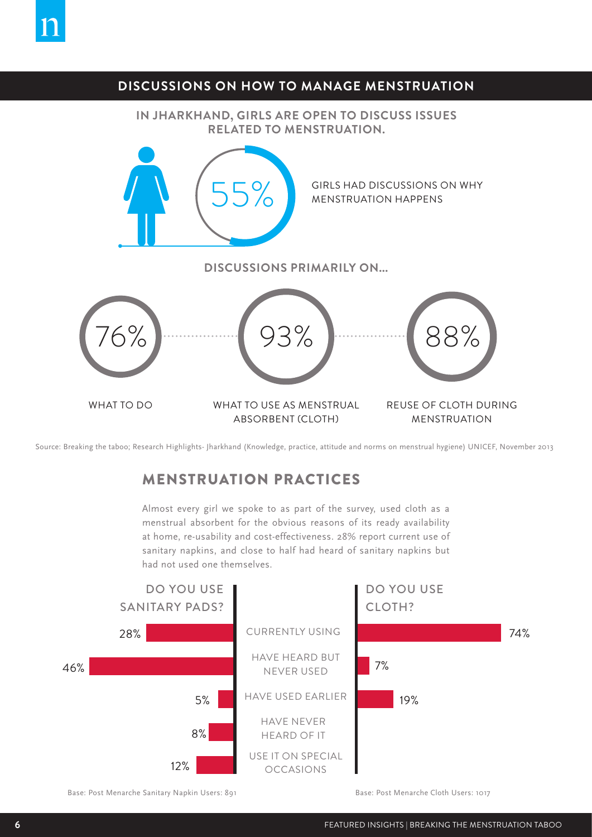## **DISCUSSIONS ON HOW TO MANAGE MENSTRUATION**

**IN JHARKHAND, GIRLS ARE OPEN TO DISCUSS ISSUES RELATED TO MENSTRUATION.**



Source: Breaking the taboo; Research Highlights- Jharkhand (Knowledge, practice, attitude and norms on menstrual hygiene) UNICEF, November 2013

# MENSTRUATION PRACTICES

Almost every girl we spoke to as part of the survey, used cloth as a menstrual absorbent for the obvious reasons of its ready availability at home, re-usability and cost-effectiveness. 28% report current use of sanitary napkins, and close to half had heard of sanitary napkins but had not used one themselves.



Base: Post Menarche Sanitary Napkin Users: 891 Base: Post Menarche Cloth Users: 1017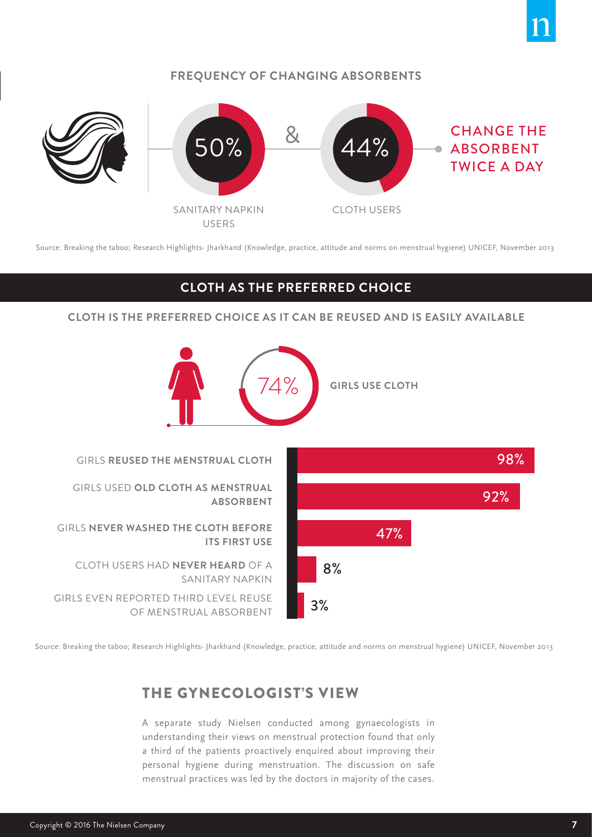#### **FREQUENCY OF CHANGING ABSORBENTS**



Source: Breaking the taboo; Research Highlights- Jharkhand (Knowledge, practice, attitude and norms on menstrual hygiene) UNICEF, November 2013

#### **CLOTH AS THE PREFERRED CHOICE**

**CLOTH IS THE PREFERRED CHOICE AS IT CAN BE REUSED AND IS EASILY AVAILABLE**



Source: Breaking the taboo; Research Highlights- Jharkhand (Knowledge, practice, attitude and norms on menstrual hygiene) UNICEF, November 2013

# THE GYNECOLOGIST'S VIEW

A separate study Nielsen conducted among gynaecologists in understanding their views on menstrual protection found that only a third of the patients proactively enquired about improving their personal hygiene during menstruation. The discussion on safe menstrual practices was led by the doctors in majority of the cases.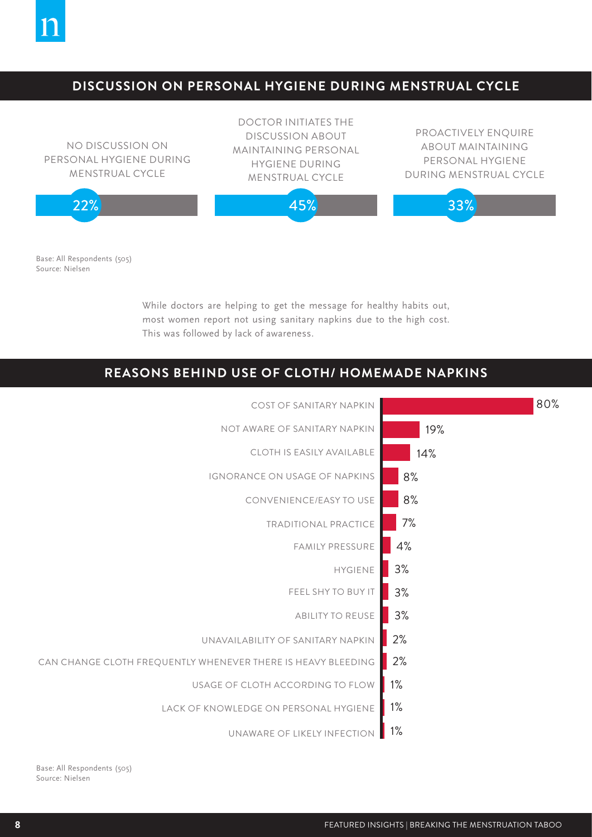

## **DISCUSSION ON PERSONAL HYGIENE DURING MENSTRUAL CYCLE**



Base: All Respondents (505) Source: Nielsen

> While doctors are helping to get the message for healthy habits out, most women report not using sanitary napkins due to the high cost. This was followed by lack of awareness.

## **REASONS BEHIND USE OF CLOTH/ HOMEMADE NAPKINS**



Base: All Respondents (505) Source: Nielsen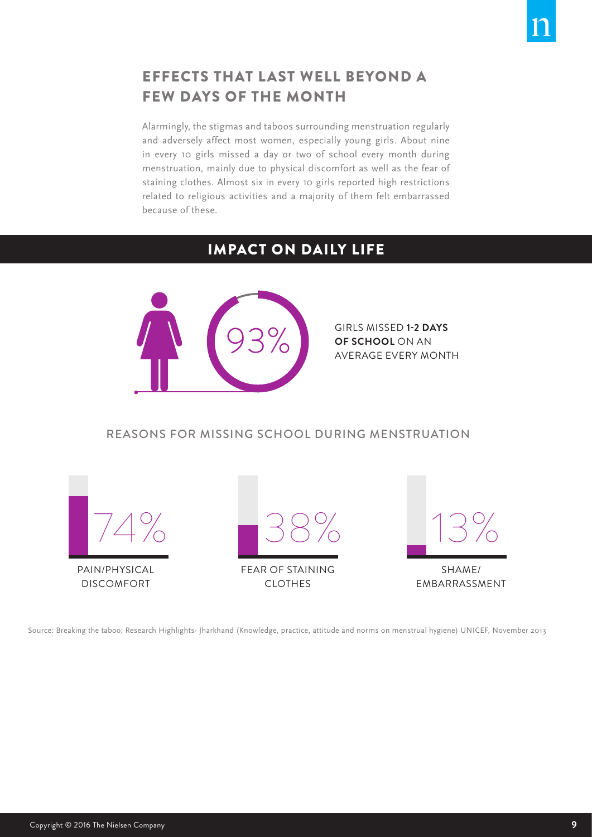

# EFFECTS THAT LAST WELL BEYOND A FEW DAYS OF THE MONTH

Alarmingly, the stigmas and taboos surrounding menstruation regularly and adversely affect most women, especially young girls. About nine in every 10 girls missed a day or two of school every month during menstruation, mainly due to physical discomfort as well as the fear of staining clothes. Almost six in every 10 girls reported high restrictions related to religious activities and a majority of them felt embarrassed because of these.

# IMPACT ON DAILY LIFE



GIRLS MISSED **1-2 DAYS OF SCHOOL** ON AN<br>AVERAGE EVERY MONTH

## REASONS FOR MISSING SCHOOL DURING MENSTRUATION



Source: Breaking the taboo; Research Highlights- Jharkhand (Knowledge, practice, attitude and norms on menstrual hygiene) UNICEF, November 2013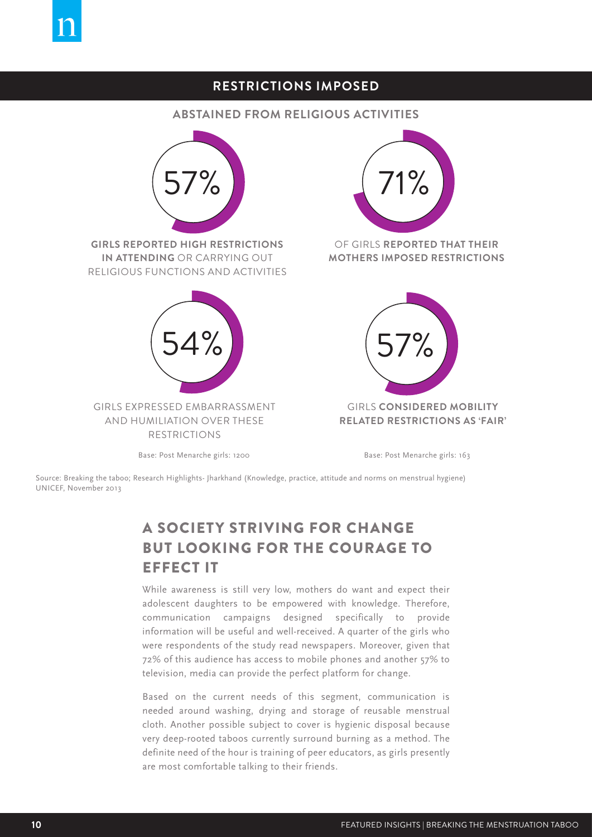# **RESTRICTIONS IMPOSED**

#### **ABSTAINED FROM RELIGIOUS ACTIVITIES**



Source: Breaking the taboo; Research Highlights- Jharkhand (Knowledge, practice, attitude and norms on menstrual hygiene) UNICEF, November 2013

# A SOCIETY STRIVING FOR CHANGE BUT LOOKING FOR THE COURAGE TO EFFECT IT

While awareness is still very low, mothers do want and expect their adolescent daughters to be empowered with knowledge. Therefore, communication campaigns designed specifically to provide information will be useful and well-received. A quarter of the girls who were respondents of the study read newspapers. Moreover, given that 72% of this audience has access to mobile phones and another 57% to television, media can provide the perfect platform for change.

Based on the current needs of this segment, communication is needed around washing, drying and storage of reusable menstrual cloth. Another possible subject to cover is hygienic disposal because very deep-rooted taboos currently surround burning as a method. The definite need of the hour is training of peer educators, as girls presently are most comfortable talking to their friends.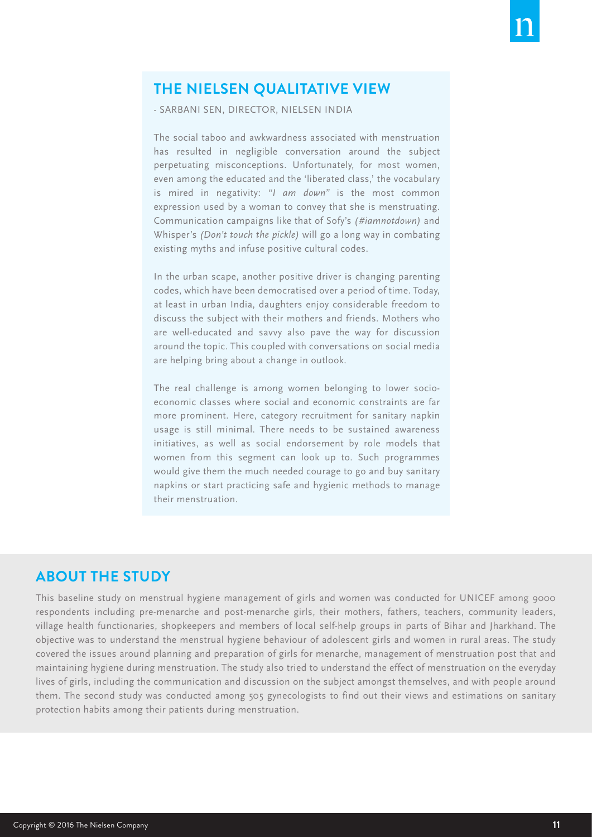# **THE NIELSEN QUALITATIVE VIEW**

- SARBANI SEN, DIRECTOR, NIELSEN INDIA

The social taboo and awkwardness associated with menstruation has resulted in negligible conversation around the subject perpetuating misconceptions. Unfortunately, for most women, even among the educated and the 'liberated class,' the vocabulary is mired in negativity: *"I am down"* is the most common expression used by a woman to convey that she is menstruating. Communication campaigns like that of Sofy's *(#iamnotdown)* and Whisper's *(Don't touch the pickle)* will go a long way in combating existing myths and infuse positive cultural codes.

In the urban scape, another positive driver is changing parenting codes, which have been democratised over a period of time. Today, at least in urban India, daughters enjoy considerable freedom to discuss the subject with their mothers and friends. Mothers who are well-educated and savvy also pave the way for discussion around the topic. This coupled with conversations on social media are helping bring about a change in outlook.

The real challenge is among women belonging to lower socioeconomic classes where social and economic constraints are far more prominent. Here, category recruitment for sanitary napkin usage is still minimal. There needs to be sustained awareness initiatives, as well as social endorsement by role models that women from this segment can look up to. Such programmes would give them the much needed courage to go and buy sanitary napkins or start practicing safe and hygienic methods to manage their menstruation.

# **ABOUT THE STUDY**

This baseline study on menstrual hygiene management of girls and women was conducted for UNICEF among 9000 respondents including pre-menarche and post-menarche girls, their mothers, fathers, teachers, community leaders, village health functionaries, shopkeepers and members of local self-help groups in parts of Bihar and Jharkhand. The objective was to understand the menstrual hygiene behaviour of adolescent girls and women in rural areas. The study covered the issues around planning and preparation of girls for menarche, management of menstruation post that and maintaining hygiene during menstruation. The study also tried to understand the effect of menstruation on the everyday lives of girls, including the communication and discussion on the subject amongst themselves, and with people around them. The second study was conducted among 505 gynecologists to find out their views and estimations on sanitary protection habits among their patients during menstruation.